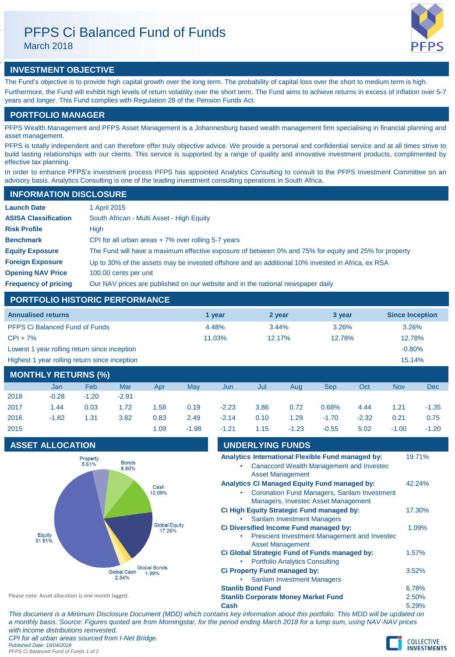March 2018



# **INVESTMENT OBJECTIVE**

The Fund's objective is to provide high capital growth over the long term. The probability of capital loss over the short to medium term is high. Furthermore, the Fund will exhibit high levels of return volatility over the short term. The Fund aims to achieve returns in excess of inflation over 5-7 years and longer. This Fund complies with Regulation 28 of the Pension Funds Act.

# **PORTFOLIO MANAGER**

PFPS Wealth Management and PFPS Asset Management is a Johannesburg based wealth management firm specialising in financial planning and asset management.

PFPS is totally independent and can therefore offer truly objective advice. We provide a personal and confidential service and at all times strive to build lasting relationships with our clients. This service is supported by a range of quality and innovative investment products, complimented by effective tax planning.

In order to enhance PFPS's investment process PFPS has appointed Analytics Consulting to consult to the PFPS Investment Committee on an advisory basis. Analytics Consulting is one of the leading investment consulting operations in South Africa.

# **INFORMATION DISCLOSURE**

| <b>Launch Date</b>          | 1 April 2015                                                                                          |
|-----------------------------|-------------------------------------------------------------------------------------------------------|
| <b>ASISA Classification</b> | South African - Multi Asset - High Equity                                                             |
| <b>Risk Profile</b>         | High                                                                                                  |
| <b>Benchmark</b>            | CPI for all urban areas $+7\%$ over rolling 5-7 years                                                 |
| <b>Equity Exposure</b>      | The Fund will have a maximum effective exposure of between 0% and 75% for equity and 25% for property |
| <b>Foreign Exposure</b>     | Up to 30% of the assets may be invested offshore and an additional 10% invested in Africa, ex RSA     |
| <b>Opening NAV Price</b>    | 100.00 cents per unit                                                                                 |
| <b>Frequency of pricing</b> | Our NAV prices are published on our website and in the national newspaper daily                       |

# **PORTFOLIO HISTORIC PERFORMANCE**

| <b>Annualised returns</b>                     | 1 vear | 2 year | 3 year | <b>Since Inception</b> |
|-----------------------------------------------|--------|--------|--------|------------------------|
| <b>PFPS Ci Balanced Fund of Funds</b>         | 4.48%  | 3.44%  | 3.26%  | 3.26%                  |
| $CPI + 7%$                                    | 11.03% | 12.17% | 12.78% | 12.78%                 |
| Lowest 1 year rolling return since inception  |        |        |        | $-0.80%$               |
| Highest 1 year rolling return since inception |        | 15.14% |        |                        |
|                                               |        |        |        |                        |

| MONTHLY RETURNS (%) |         |         |         |      |         |         |      |         |         |         |         |            |
|---------------------|---------|---------|---------|------|---------|---------|------|---------|---------|---------|---------|------------|
|                     | Jan     | Feb     | Mar     | Apr  | May     | Jun     | Jul  | Aug     | Sep     | Oct     | Nov     | <b>Dec</b> |
| 2018                | $-0.28$ | $-1.20$ | $-2.91$ |      |         |         |      |         |         |         |         |            |
| 2017                | 1.44    | 0.03    | 1.72    | 1.58 | 0.19    | $-2.23$ | 3.86 | 0.72    | 0.68%   | 4.44    | 1.21    | $-1.35$    |
| 2016                | $-1.82$ | 1.31    | 3.82    | 0.83 | 2.49    | $-2.14$ | 0.10 | 1.29    | $-1.70$ | $-2.32$ | 0.21    | 0.75       |
| 2015                |         |         |         | 1.09 | $-1.98$ | $-1.21$ | 1.15 | $-1.23$ | $-0.55$ | 5.02    | $-1.00$ | $-1.20$    |

# **ASSET ALLOCATION**



| - I.Z I | 1. I Ə                   | -1.ZO                                      | -u.oo                                                                                     | SU.C | -1.UU | -1.ZU  |
|---------|--------------------------|--------------------------------------------|-------------------------------------------------------------------------------------------|------|-------|--------|
|         | <b>UNDERLYING FUNDS</b>  |                                            |                                                                                           |      |       |        |
|         |                          |                                            | Analytics International Flexible Fund managed by:                                         |      |       | 19.71% |
|         |                          | <b>Asset Management</b>                    | Canaccord Wealth Management and Investec                                                  |      |       |        |
|         |                          |                                            | <b>Analytics Ci Managed Equity Fund managed by:</b>                                       |      |       | 42.24% |
|         |                          |                                            | <b>Coronation Fund Managers, Sanlam Investment</b><br>Managers, Investec Asset Management |      |       |        |
|         |                          |                                            | Ci High Equity Strategic Fund managed by:                                                 |      |       | 17.30% |
|         |                          | <b>Sanlam Investment Managers</b>          |                                                                                           |      |       |        |
|         |                          |                                            | Ci Diversified Income Fund managed by:                                                    |      |       | 1.09%  |
|         |                          | <b>Asset Management</b>                    | Prescient Investment Management and Investec                                              |      |       |        |
|         |                          |                                            | Ci Global Strategic Fund of Funds managed by:                                             |      | 1.57% |        |
|         |                          | <b>Portfolio Analytics Consulting</b>      |                                                                                           |      |       |        |
|         |                          | <b>Ci Property Fund managed by:</b>        |                                                                                           |      | 3.52% |        |
|         |                          | <b>Sanlam Investment Managers</b>          |                                                                                           |      |       |        |
|         | <b>Stanlib Bond Fund</b> |                                            |                                                                                           |      | 6.78% |        |
|         |                          | <b>Stanlib Corporate Money Market Fund</b> |                                                                                           |      | 2.50% |        |
| Cash    |                          |                                            |                                                                                           |      | 5.29% |        |

Please note: Asset allocation is one month lagged.

*PFPS Ci Balanced Fund of Funds 1 of 2*

*This document is a Minimum Disclosure Document (MDD) which contains key information about this portfolio. This MDD will be updated on a monthly basis. Source: Figures quoted are from Morningstar, for the period ending March 2018 for a lump sum, using NAV-NAV prices with income distributions reinvested. CPI for all urban areas sourced from I-Net Bridge. Published Date: 19/04/2018*